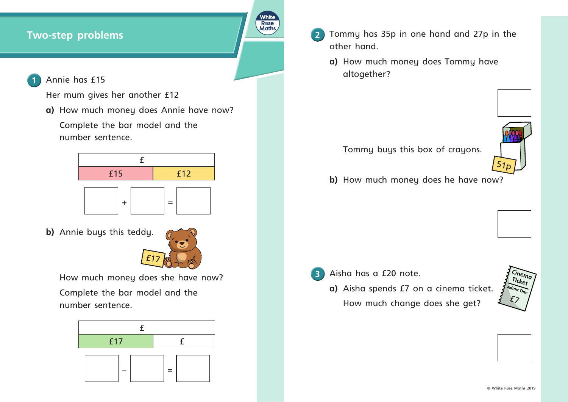Annie has £15

Her mum gives her another £12

a) How much money does Annie have now? Complete the bar model and the number sentence.



**b)** Annie buys this teddy.

**Two-step problems 2 Tommy has 35p in one hand and 27p in the** other hand.

**R**ose

**a)** How much money does Tommy have altogether?

How much money does she have now? Complete the bar model and the number sentence.



Tommy buys this box of crayons.

**b)** How much money does he have now?

**3** Aisha has a £20 note.

**a)**  Aisha spends £7 on a cinema ticket. How much change does she get?